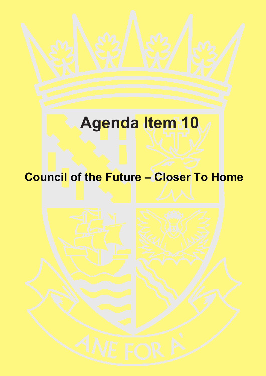# **Agenda Item 10**

# **Council of the Future – Closer To Home**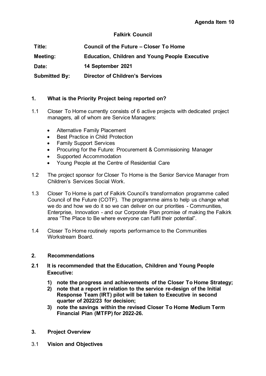#### **Falkirk Council**

| Title:               | <b>Council of the Future – Closer To Home</b>         |
|----------------------|-------------------------------------------------------|
| Meeting:             | <b>Education, Children and Young People Executive</b> |
| Date:                | 14 September 2021                                     |
| <b>Submitted By:</b> | <b>Director of Children's Services</b>                |

#### **1. What is the Priority Project being reported on?**

- 1.1 Closer To Home currently consists of 6 active projects with dedicated project managers, all of whom are Service Managers:
	- Alternative Family Placement
	- Best Practice in Child Protection
	- Family Support Services
	- Procuring for the Future: Procurement & Commissioning Manager
	- Supported Accommodation
	- Young People at the Centre of Residential Care
- 1.2 The project sponsor for Closer To Home is the Senior Service Manager from Children's Services Social Work.
- 1.3 Closer To Home is part of Falkirk Council's transformation programme called Council of the Future (COTF). The programme aims to help us change what we do and how we do it so we can deliver on our priorities - Communities, Enterprise, Innovation - and our Corporate Plan promise of making the Falkirk area "The Place to Be where everyone can fulfil their potential".
- 1.4 Closer To Home routinely reports performamce to the Communities Workstream Board.

#### **2. Recommendations**

- **2.1 It is recommended that the Education, Children and Young People Executive:** 
	- **1) note the progress and achievements of the Closer To Home Strategy;**
	- **2) note that a report in relation to the service re-design of the Initial Response Team (IRT) pilot will be taken to Executive in second quarter of 2022/23 for decision;**
	- **3) note the savings within the revised Closer To Home Medium Term Financial Plan (MTFP) for 2022-26.**
- **3. Project Overview**
- 3.1 **Vision and Objectives**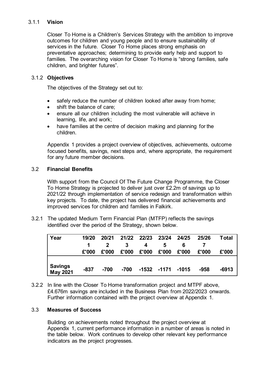#### 3.1.1 **Vision**

Closer To Home is a Children's Services Strategy with the ambition to improve outcomes for children and young people and to ensure sustainability of services in the future. Closer To Home places strong emphasis on preventative approaches; determining to provide early help and support to families. The overarching vision for Closer To Home is "strong families, safe children, and brighter futures".

#### 3.1.2 **Objectives**

The objectives of the Strategy set out to:

- safely reduce the number of children looked after away from home;
- shift the balance of care;
- ensure all our children including the most vulnerable will achieve in learning, life, and work;
- have families at the centre of decision making and planning for the children.

Appendix 1 provides a project overview of objectives, achievements, outcome focused benefits, savings, next steps and, where appropriate, the requirement for any future member decisions.

#### 3.2 **Financial Benefits**

With support from the Council Of The Future Change Programme, the Closer To Home Strategy is projected to deliver just over £2.2m of savings up to 2021/22 through implementation of service redesign and transformation within key projects. To date, the project has delivered financial achievements and improved services for children and families in Falkirk.

3.2.1 The updated Medium Term Financial Plan (MTFP) reflects the savings identified over the period of the Strategy, shown below.

| Year                       | 19/20  | 20/21  |       | 21/22 22/23 23/24 24/25 |                   |       | 25/26 | Total |
|----------------------------|--------|--------|-------|-------------------------|-------------------|-------|-------|-------|
|                            |        | 2      | 3     | 4                       | 5                 |       |       |       |
|                            | £'000  | £'000  | £'000 | £'000                   | £'000             | £'000 | £'000 | £'000 |
|                            |        |        |       |                         |                   |       |       |       |
| Savings<br><b>May 2021</b> | $-837$ | $-700$ | -700  |                         | -1532 -1171 -1015 |       | -958  | -6913 |

3.2.2 In line with the Closer To Home transformation project and MTPF above, £4.676m savings are included in the Business Plan from 2022/2023 onwards. Further information contained with the project overview at Appendix 1.

#### 3.3 **Measures of Success**

Building on achievements noted throughout the project overview at Appendix 1, current performance information in a number of areas is noted in the table below. Work continues to develop other relevant key performance indicators as the project progresses.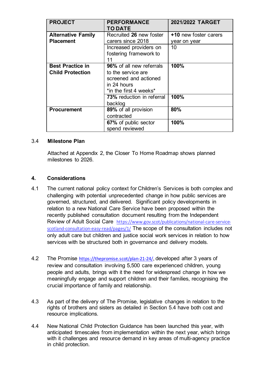| <b>PROJECT</b>                                     | <b>PERFORMANCE</b><br><b>TO DATE</b>                                                                             | 2021/2022 TARGET                             |
|----------------------------------------------------|------------------------------------------------------------------------------------------------------------------|----------------------------------------------|
| <b>Alternative Family</b><br><b>Placement</b>      | Recruited 26 new foster<br>carers since 2018                                                                     | <b>+10 new foster carers</b><br>year on year |
|                                                    | Increased providers on<br>fostering framework to<br>11                                                           | 10                                           |
| <b>Best Practice in</b><br><b>Child Protection</b> | 96% of all new referrals<br>to the service are<br>screened and actioned<br>in 24 hours<br>*in the first 4 weeks* | 100%                                         |
|                                                    | 73% reduction in referral<br>backlog                                                                             | 100%                                         |
| <b>Procurement</b>                                 | 89% of all provision<br>contracted                                                                               | 80%                                          |
|                                                    | 67% of public sector<br>spend reviewed                                                                           | 100%                                         |

#### 3.4 **Milestone Plan**

Attached at Appendix 2, the Closer To Home Roadmap shows planned milestones to 2026.

#### **4. Considerations**

- 4.1 The current national policy context for Children's Services is both complex and challenging with potential unprecedented change in how public services are governed, structured, and delivered. Significant policy developments in relation to a new National Care Service have been proposed within the recently published consultation document resulting from the Independent Review of Adult Social Care [https://www.gov.scot/publications/national-care-service](https://www.gov.scot/publications/national-care-service-scotland-consultation-easy-read/pages/1/)[scotland-consultation-easy-read/pages/1/](https://www.gov.scot/publications/national-care-service-scotland-consultation-easy-read/pages/1/) The scope of the consultation includes not only adult care but children and justice social work services in relation to how services with be structured both in governance and delivery models.
- 4.2 The Promise <https://thepromise.scot/plan-21-24/>, developed after 3 years of review and consultation involving 5,500 care experienced children, young people and adults, brings with it the need for widespread change in how we meaningfully engage and support children and their families, recognising the crucial importance of family and relationship.
- 4.3 As part of the delivery of The Promise, legislative changes in relation to the rights of brothers and sisters as detailed in Section 5.4 have both cost and resource implications.
- 4.4 New National Child Protection Guidance has been launched this year, with anticipated timescales from implementation within the next year, which brings with it challenges and resource demand in key areas of multi-agency practice in child protection.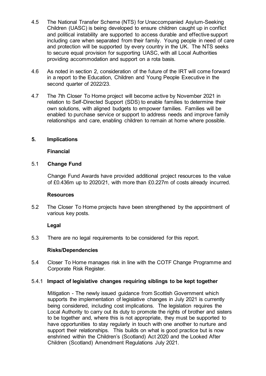- 4.5 The National Transfer Scheme (NTS) for Unaccompanied Asylum-Seeking Children (UASC) is being developed to ensure children caught up in conflict and political instability are supported to access durable and effective support including care when separated from their family. Young people in need of care and protection will be supported by every country in the UK. The NTS seeks to secure equal provision for supporting UASC, with all Local Authorities providing accommodation and support on a rota basis.
- 4.6 As noted in section 2, consideration of the future of the IRT will come forward in a report to the Education, Children and Young People Executive in the second quarter of 2022/23.
- 4.7 The 7th Closer To Home project will become active by November 2021 in relation to Self-Directed Support (SDS) to enable families to determine their own solutions, with aligned budgets to empower families. Families will be enabled to purchase service or support to address needs and improve family relationships and care, enabling children to remain at home where possible.

#### **5. Implications**

#### **Financial**

#### 5.1 **Change Fund**

Change Fund Awards have provided additional project resources to the value of £0.436m up to 2020/21, with more than £0.227m of costs already incurred.

#### **Resources**

5.2 The Closer To Home projects have been strengthened by the appointment of various key posts.

#### **Legal**

5.3 There are no legal requirements to be considered for this report.

#### **Risks/Dependencies**

5.4 Closer To Home manages risk in line with the COTF Change Programme and Corporate Risk Register.

#### 5.4.1 **Impact of legislative changes requiring siblings to be kept together**

Mitigation - The newly issued guidance from Scottish Government which supports the implementation of legislative changes in July 2021 is currently being considered, including cost implications. The legislation requires the Local Authority to carry out its duty to promote the rights of brother and sisters to be together and, where this is not appropriate, they must be supported to have opportunities to stay regularly in touch with one another to nurture and support their relationships. This builds on what is good practice but is now enshrined within the Children's (Scotland) Act 2020 and the Looked After Children (Scotland) Amendment Regulations July 2021.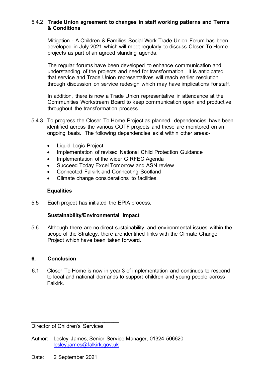#### 5.4.2 **Trade Union agreement to changes in staff working patterns and Terms & Conditions**

Mitigation - A Children & Families Social Work Trade Union Forum has been developed in July 2021 which will meet regularly to discuss Closer To Home projects as part of an agreed standing agenda.

The regular forums have been developed to enhance communication and understanding of the projects and need for transformation. It is anticipated that service and Trade Union representatives will reach earlier resolution through discussion on service redesign which may have implications for staff.

In addition, there is now a Trade Union representative in attendance at the Communities Workstream Board to keep communication open and productive throughout the transformation process.

- 5.4.3 To progress the Closer To Home Project as planned, dependencies have been identified across the various COTF projects and these are monitored on an ongoing basis. The following dependencies exist within other areas:-
	- Liquid Logic Project
	- Implementation of revised National Child Protection Guidance
	- Implementation of the wider GIRFEC Agenda
	- Succeed Today Excel Tomorrow and ASN review
	- Connected Falkirk and Connecting Scotland
	- Climate change considerations to facilities.

#### **Equalities**

5.5 Each project has initiated the EPIA process.

#### **Sustainability/Environmental Impact**

5.6 Although there are no direct sustainability and environmental issues within the scope of the Strategy, there are identified links with the Climate Change Project which have been taken forward.

#### **6. Conclusion**

6.1 Closer To Home is now in year 3 of implementation and continues to respond to local and national demands to support children and young people across Falkirk.

**\_\_\_\_\_\_\_\_\_\_\_\_\_\_\_\_\_\_\_\_\_\_\_\_\_\_\_\_\_\_** Director of Children's Services

- Author: Lesley James, Senior Service Manager, 01324 506620 [lesley.james@falkirk.gov.uk](mailto:lesley.james@falkirk.gov.uk)
- Date: 2 September 2021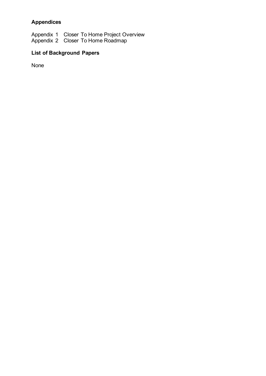### **Appendices**

Appendix 1 Closer To Home Project Overview Appendix 2 Closer To Home Roadmap

## **List of Background Papers**

None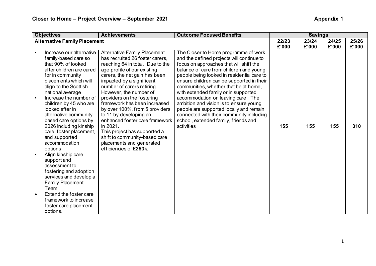| <b>Objectives</b>                                                                                                                                                                                                                                                                                                                                                           | <b>Achievements</b>                                                                                                                                                                                                                                                                                                                                                                                                                                                     | <b>Outcome Focused Benefits</b>                                                                                                                                                                                                                                                                                                                                                                                                                                                                                                                                                  |                | <b>Savings</b> |                |                |
|-----------------------------------------------------------------------------------------------------------------------------------------------------------------------------------------------------------------------------------------------------------------------------------------------------------------------------------------------------------------------------|-------------------------------------------------------------------------------------------------------------------------------------------------------------------------------------------------------------------------------------------------------------------------------------------------------------------------------------------------------------------------------------------------------------------------------------------------------------------------|----------------------------------------------------------------------------------------------------------------------------------------------------------------------------------------------------------------------------------------------------------------------------------------------------------------------------------------------------------------------------------------------------------------------------------------------------------------------------------------------------------------------------------------------------------------------------------|----------------|----------------|----------------|----------------|
| <b>Alternative Family Placement</b>                                                                                                                                                                                                                                                                                                                                         |                                                                                                                                                                                                                                                                                                                                                                                                                                                                         |                                                                                                                                                                                                                                                                                                                                                                                                                                                                                                                                                                                  | 22/23<br>£'000 | 23/24<br>£'000 | 24/25<br>£'000 | 25/26<br>£'000 |
| Increase our alternative<br>family-based care so<br>that 90% of looked<br>after children are cared<br>for in community<br>placements which will<br>align to the Scottish<br>national average<br>Increase the number of<br>children by 45 who are<br>looked after in<br>alternative community-<br>based care options by<br>2026 including kinship<br>care, foster placement, | <b>Alternative Family Placement</b><br>has recruited 26 foster carers,<br>reaching 64 in total. Due to the<br>age profile of our existing<br>carers, the net gain has been<br>impacted by a significant<br>number of carers retiring.<br>However, the number of<br>providers on the fostering<br>framework has been increased<br>by over 100%, from 5 providers<br>to 11 by developing an<br>enhanced foster care framework<br>in 2021.<br>This project has supported a | The Closer to Home programme of work<br>and the defined projects will continue to<br>focus on approaches that will shift the<br>balance of care from children and young<br>people being looked in residential care to<br>ensure children can be supported in their<br>communities, whether that be at home,<br>with extended family or in supported<br>accommodation on leaving care. The<br>ambition and vision is to ensure young<br>people are supported locally and remain<br>connected with their community including<br>school, extended family, friends and<br>activities | 155            | 155            | 155            | 310            |
| and supported<br>accommodation<br>options<br>Align kinship care<br>support and<br>assessment to<br>fostering and adoption<br>services and develop a<br><b>Family Placement</b><br>Team<br>Extend the foster care<br>framework to increase<br>foster care placement<br>options.                                                                                              | shift to community-based care<br>placements and generated<br>efficiencies of £253k.                                                                                                                                                                                                                                                                                                                                                                                     |                                                                                                                                                                                                                                                                                                                                                                                                                                                                                                                                                                                  |                |                |                |                |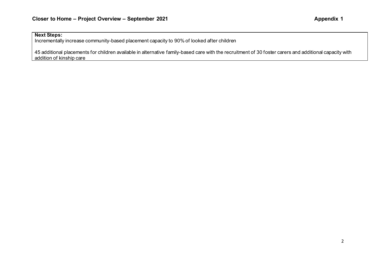#### **Next Steps:**

Incrementally increase community-based placement capacity to 90% of looked after children

45 additional placements for children available in alternative family-based care with the recruitment of 30 foster carers and additional capacity with addition of kinship care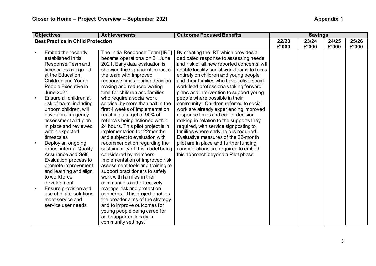|           | <b>Objectives</b>                        | <b>Achievements</b>                | <b>Outcome Focused Benefits</b>             |       | <b>Savings</b> |       |       |
|-----------|------------------------------------------|------------------------------------|---------------------------------------------|-------|----------------|-------|-------|
|           | <b>Best Practice in Child Protection</b> |                                    |                                             | 22/23 | 23/24          | 24/25 | 25/26 |
|           |                                          |                                    |                                             | £'000 | £'000          | £'000 | £'000 |
| $\bullet$ | Embed the recently                       | The Initial Response Team [IRT]    | By creating the IRT which provides a        |       |                |       |       |
|           | established Initial                      | became operational on 21 June      | dedicated response to assessing needs       |       |                |       |       |
|           | Response Team and                        | 2021. Early data evaluation is     | and risk of all new reported concerns, will |       |                |       |       |
|           | timescales as agreed                     | showing the significant impact of  | enable locality social work teams to focus  |       |                |       |       |
|           | at the Education,                        | the team with improved             | entirely on children and young people       |       |                |       |       |
|           | Children and Young                       | response times, earlier decision   | and their families who have active social   |       |                |       |       |
|           | People Executive in                      | making and reduced waiting         | work lead professionals taking forward      |       |                |       |       |
|           | <b>June 2021</b>                         | time for children and families     | plans and intervention to support young     |       |                |       |       |
|           | Ensure all children at                   | who require a social work          | people where possible in their              |       |                |       |       |
|           | risk of harm, including                  | service, by more than half in the  | community. Children referred to social      |       |                |       |       |
|           | unborn children, will                    | first 4 weeks of implementation,   | work are already experiencing improved      |       |                |       |       |
|           | have a multi-agency                      | reaching a target of 90% of        | response times and earlier decision         |       |                |       |       |
|           | assessment and plan                      | referrals being actioned within    | making in relation to the supports they     |       |                |       |       |
|           | in place and reviewed                    | 24 hours. This pilot project is in | required, with service signposting to       |       |                |       |       |
|           | within expected                          | implementation for 22months        | families where early help is required.      |       |                |       |       |
|           | timescales                               | and subject to evaluation with     | Evaluative measures of the 22-month         |       |                |       |       |
|           | Deploy an ongoing                        | recommendation regarding the       | pilot are in place and further funding      |       |                |       |       |
|           | robust internal Quality                  | sustainability of this model being | considerations are required to embed        |       |                |       |       |
|           | Assurance and Self                       | considered by members.             | this approach beyond a Pilot phase.         |       |                |       |       |
|           | Evaluation process to                    | Implementation of improved risk    |                                             |       |                |       |       |
|           | promote improvement                      | assessment tools and training to   |                                             |       |                |       |       |
|           | and learning and align                   | support practitioners to safely    |                                             |       |                |       |       |
|           | to workforce                             | work with families in their        |                                             |       |                |       |       |
|           | development                              | communities and effectively        |                                             |       |                |       |       |
| $\bullet$ | Ensure provision and                     | manage risk and protection         |                                             |       |                |       |       |
|           | use of digital solutions                 | concerns. This project enables     |                                             |       |                |       |       |
|           | meet service and                         | the broader aims of the strategy   |                                             |       |                |       |       |
|           | service user needs                       | and to improve outcomes for        |                                             |       |                |       |       |
|           |                                          | young people being cared for       |                                             |       |                |       |       |
|           |                                          | and supported locally in           |                                             |       |                |       |       |
|           |                                          | community settings.                |                                             |       |                |       |       |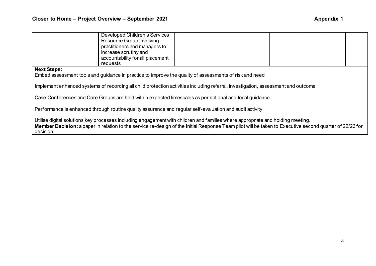|                                                                                                                                | Developed Children's Services<br>Resource Group involving<br>practitioners and managers to<br>increase scrutiny and |                                                                                                                                                         |  |  |  |  |  |
|--------------------------------------------------------------------------------------------------------------------------------|---------------------------------------------------------------------------------------------------------------------|---------------------------------------------------------------------------------------------------------------------------------------------------------|--|--|--|--|--|
|                                                                                                                                | accountability for all placement<br>requests                                                                        |                                                                                                                                                         |  |  |  |  |  |
| <b>Next Steps:</b><br>Embed assessment tools and guidance in practice to improve the quality of assessments of risk and need   |                                                                                                                     |                                                                                                                                                         |  |  |  |  |  |
|                                                                                                                                |                                                                                                                     | Implement enhanced systems of recording all child protection activities including referral, investigation, assessment and outcome                       |  |  |  |  |  |
|                                                                                                                                |                                                                                                                     | Case Conferences and Core Groups are held within expected timescales as per national and local guidance                                                 |  |  |  |  |  |
| Performance is enhanced through routine quality assurance and regular self-evaluation and audit activity.                      |                                                                                                                     |                                                                                                                                                         |  |  |  |  |  |
| Utilise digital solutions key processes including engagement with children and families where appropriate and holding meeting. |                                                                                                                     |                                                                                                                                                         |  |  |  |  |  |
|                                                                                                                                |                                                                                                                     | Member Decision: a paper in relation to the service re-design of the Initial Response Team pilot will be taken to Executive second quarter of 22/23 for |  |  |  |  |  |

decision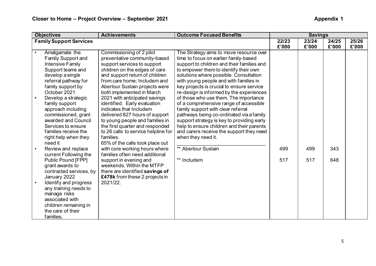|           | <b>Objectives</b>              | <b>Achievements</b>                 | <b>Outcome Focused Benefits</b>            |                | <b>Savings</b> |                |                |
|-----------|--------------------------------|-------------------------------------|--------------------------------------------|----------------|----------------|----------------|----------------|
|           | <b>Family Support Services</b> |                                     |                                            | 22/23<br>£'000 | 23/24<br>£'000 | 24/25<br>£'000 | 25/26<br>£'000 |
| $\bullet$ | Amalgamate the                 | Commissioning of 2 pilot            | The Strategy aims to move resource over    |                |                |                |                |
|           | <b>Family Support and</b>      | preventative community-based        | time to focus on earlier family-based      |                |                |                |                |
|           | <b>Intensive Family</b>        | support services to support         | support to children and their families and |                |                |                |                |
|           | Support teams and              | children on the edges of care       | to empower them to identify their own      |                |                |                |                |
|           | develop a single               | and support return of children      | solutions where possible. Consultation     |                |                |                |                |
|           | referral pathway for           | from care home; Includem and        | with young people and with families in     |                |                |                |                |
|           | family support by              | Aberlour Sustain projects were      | key projects is crucial to ensure service  |                |                |                |                |
|           | October 2021                   | both implemented in March           | re-design is informed by the experiences   |                |                |                |                |
|           | Develop a strategic            | 2021 with anticipated savings       | of those who use them. The importance      |                |                |                |                |
|           | family support                 | identified. Early evaluation        | of a comprehensive range of accessible     |                |                |                |                |
|           | approach including             | indicates that Includem             | family support with clear referral         |                |                |                |                |
|           | commissioned, grant            | delivered 827 hours of support      | pathways being co-ordinated via a family   |                |                |                |                |
|           | awarded and Council            | to young people and families in     | support strategy is key to providing early |                |                |                |                |
|           | Services to ensure             | the first quarter and responded     | help to ensure children and their parents  |                |                |                |                |
|           | families receive the           | to 26 calls to service helpline for | and carers receive the support they need   |                |                |                |                |
|           | right help when they           | families.                           | when they need it.                         |                |                |                |                |
|           | need it                        | 65% of the calls took place out     |                                            |                |                |                |                |
|           | Review and replace             | with core working hours where       | ** Aberlour Sustain                        | 499            | 499            | 343            |                |
|           | current Following the          | families often need additional      |                                            |                |                |                |                |
|           | Public Pound [FPP]             | support in evening and              | ** Includem                                | 517            | 517            | 648            |                |
|           | grant awards to                | weekends. Within the MTFP           |                                            |                |                |                |                |
|           | contracted services, by        | there are identified savings of     |                                            |                |                |                |                |
|           | January 2022                   | £478k from these 2 projects in      |                                            |                |                |                |                |
|           | Identify and progress          | 2021/22.                            |                                            |                |                |                |                |
|           | any training needs to          |                                     |                                            |                |                |                |                |
|           | manage risks                   |                                     |                                            |                |                |                |                |
|           | associated with                |                                     |                                            |                |                |                |                |
|           | children remaining in          |                                     |                                            |                |                |                |                |
|           | the care of their              |                                     |                                            |                |                |                |                |
|           | families.                      |                                     |                                            |                |                |                |                |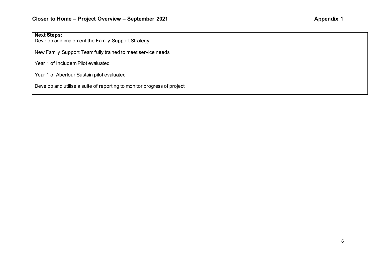#### **Next Steps:**

Develop and implement the Family Support Strategy

New Family Support Team fully trained to meet service needs

Year 1 of Includem Pilot evaluated

Year 1 of Aberlour Sustain pilot evaluated

Develop and utilise a suite of reporting to monitor progress of project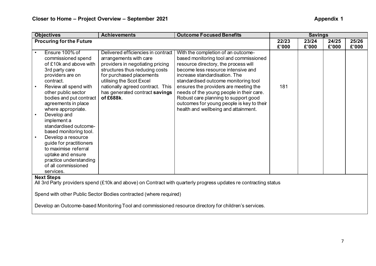| <b>Objectives</b>                  | <b>Achievements</b>                                               | <b>Outcome Focused Benefits</b>                                                                                  |       | <b>Savings</b> |       |       |
|------------------------------------|-------------------------------------------------------------------|------------------------------------------------------------------------------------------------------------------|-------|----------------|-------|-------|
| <b>Procuring for the Future</b>    |                                                                   |                                                                                                                  | 22/23 | 23/24          | 24/25 | 25/26 |
|                                    |                                                                   |                                                                                                                  | £'000 | £'000          | £'000 | £'000 |
| Ensure 100% of<br>$\bullet$        | Delivered efficiencies in contract                                | With the completion of an outcome-                                                                               |       |                |       |       |
| commissioned spend                 | arrangements with care                                            | based monitoring tool and commissioned                                                                           |       |                |       |       |
| of £10k and above with             | providers in negotiating pricing                                  | resource directory, the process will                                                                             |       |                |       |       |
| 3rd party care                     | structures thus reducing costs                                    | become less resource intensive and                                                                               |       |                |       |       |
| providers are on                   | for purchased placements                                          | increase standardisation. The                                                                                    |       |                |       |       |
| contract.                          | utilising the Scot Excel                                          | standardised outcome monitoring tool                                                                             |       |                |       |       |
| Review all spend with<br>$\bullet$ | nationally agreed contract. This                                  | ensures the providers are meeting the                                                                            | 181   |                |       |       |
| other public sector                | has generated contract savings                                    | needs of the young people in their care.                                                                         |       |                |       |       |
| bodies and put contract            | of £688k.                                                         | Robust care planning to support good                                                                             |       |                |       |       |
| agreements in place                |                                                                   | outcomes for young people is key to their                                                                        |       |                |       |       |
| where appropriate.                 |                                                                   | health and wellbeing and attainment.                                                                             |       |                |       |       |
| Develop and                        |                                                                   |                                                                                                                  |       |                |       |       |
| implement a                        |                                                                   |                                                                                                                  |       |                |       |       |
| standardised outcome-              |                                                                   |                                                                                                                  |       |                |       |       |
| based monitoring tool.             |                                                                   |                                                                                                                  |       |                |       |       |
| Develop a resource<br>$\bullet$    |                                                                   |                                                                                                                  |       |                |       |       |
| guide for practitioners            |                                                                   |                                                                                                                  |       |                |       |       |
| to maximise referral               |                                                                   |                                                                                                                  |       |                |       |       |
| uptake and ensure                  |                                                                   |                                                                                                                  |       |                |       |       |
| practice understanding             |                                                                   |                                                                                                                  |       |                |       |       |
| of all commissioned                |                                                                   |                                                                                                                  |       |                |       |       |
| services.                          |                                                                   |                                                                                                                  |       |                |       |       |
| <b>Next Steps</b>                  |                                                                   |                                                                                                                  |       |                |       |       |
|                                    |                                                                   | All 3rd Party providers spend (£10k and above) on Contract with quarterly progress updates re contracting status |       |                |       |       |
|                                    |                                                                   |                                                                                                                  |       |                |       |       |
|                                    | Spend with other Public Sector Bodies contracted (where required) |                                                                                                                  |       |                |       |       |
|                                    |                                                                   |                                                                                                                  |       |                |       |       |
|                                    |                                                                   | Develop an Outcome-based Monitoring Tool and commissioned resource directory for children's services.            |       |                |       |       |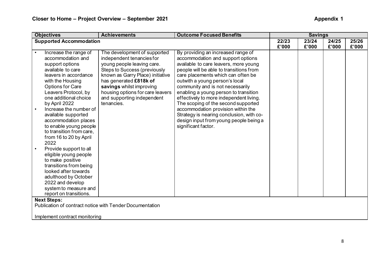| <b>Objectives</b>              | <b>Achievements</b>                                      | <b>Outcome Focused Benefits</b>          |       | <b>Savings</b> |       |       |
|--------------------------------|----------------------------------------------------------|------------------------------------------|-------|----------------|-------|-------|
| <b>Supported Accommodation</b> |                                                          |                                          | 22/23 | 23/24          | 24/25 | 25/26 |
|                                |                                                          |                                          | £'000 | £'000          | £'000 | £'000 |
| Increase the range of          | The development of supported                             | By providing an increased range of       |       |                |       |       |
| accommodation and              | independent tenancies for                                | accommodation and support options        |       |                |       |       |
| support options                | young people leaving care.                               | available to care leavers, more young    |       |                |       |       |
| available to care              | <b>Steps to Success (previously</b>                      | people will be able to transitions from  |       |                |       |       |
| leavers in accordance          | known as Garry Place) initiative                         | care placements which can often be       |       |                |       |       |
| with the Housing               | has generated £818k of                                   | outwith a young person's local           |       |                |       |       |
| <b>Options for Care</b>        | savings whilst improving                                 | community and is not necessarily         |       |                |       |       |
| Leavers Protocol, by           | housing options for care leavers                         | enabling a young person to transition    |       |                |       |       |
| one additional choice          | and supporting independent                               | effectively to more independent living.  |       |                |       |       |
| by April 2022                  | tenancies.                                               | The scoping of the second supported      |       |                |       |       |
| Increase the number of         |                                                          | accommodation provision within the       |       |                |       |       |
| available supported            |                                                          | Strategy is nearing conclusion, with co- |       |                |       |       |
| accommodation places           |                                                          | design input from young people being a   |       |                |       |       |
| to enable young people         |                                                          | significant factor.                      |       |                |       |       |
| to transition from care,       |                                                          |                                          |       |                |       |       |
| from 16 to 20 by April         |                                                          |                                          |       |                |       |       |
| 2022                           |                                                          |                                          |       |                |       |       |
| Provide support to all         |                                                          |                                          |       |                |       |       |
| eligible young people          |                                                          |                                          |       |                |       |       |
| to make positive               |                                                          |                                          |       |                |       |       |
| transitions from being         |                                                          |                                          |       |                |       |       |
| looked after towards           |                                                          |                                          |       |                |       |       |
| adulthood by October           |                                                          |                                          |       |                |       |       |
| 2022 and develop               |                                                          |                                          |       |                |       |       |
| system to measure and          |                                                          |                                          |       |                |       |       |
| report on transitions.         |                                                          |                                          |       |                |       |       |
| <b>Next Steps:</b>             |                                                          |                                          |       |                |       |       |
|                                | Publication of contract notice with Tender Documentation |                                          |       |                |       |       |
|                                |                                                          |                                          |       |                |       |       |
| Implement contract monitoring  |                                                          |                                          |       |                |       |       |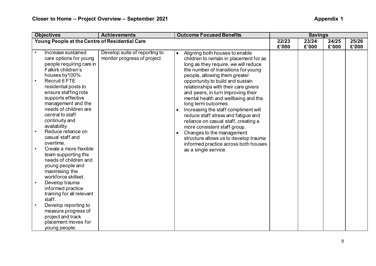|           | <b>Objectives</b>                              | <b>Achievements</b>           | <b>Outcome Focused Benefits</b>                   |       | <b>Savings</b> |       |       |
|-----------|------------------------------------------------|-------------------------------|---------------------------------------------------|-------|----------------|-------|-------|
|           | Young People at the Centre of Residential Care |                               |                                                   | 22/23 | 23/24          | 24/25 | 25/26 |
|           |                                                |                               |                                                   | £'000 | £'000          | £'000 | £'000 |
|           | Increase sustained                             | Develop suite of reporting to | Aligning both houses to enable<br>$\bullet$       |       |                |       |       |
|           | care options for young                         | monitor progress of project   | children to remain in placement for as            |       |                |       |       |
|           | people requiring care in                       |                               | long as they require, we will reduce              |       |                |       |       |
|           | Falkirk children's                             |                               | the number of transitions for young               |       |                |       |       |
|           | houses by 100%.                                |                               | people, allowing them greater                     |       |                |       |       |
|           | Recruit 6 FTE                                  |                               | opportunity to build and sustain                  |       |                |       |       |
|           | residential posts to                           |                               | relationships with their care givers              |       |                |       |       |
|           | ensure staffing rota                           |                               | and peers, in turn improving their                |       |                |       |       |
|           | supports effective                             |                               | mental health and wellbeing and the               |       |                |       |       |
|           | management and the                             |                               | long term outcomes.                               |       |                |       |       |
|           | needs of children are                          |                               | Increasing the staff compliment will<br>$\bullet$ |       |                |       |       |
|           | central to staff                               |                               | reduce staff stress and fatigue and               |       |                |       |       |
|           | continuity and                                 |                               | reliance on casual staff, creating a              |       |                |       |       |
|           | availability.                                  |                               | more consistent staff group.                      |       |                |       |       |
|           | Reduce reliance on                             |                               | Changes to the management<br>$\bullet$            |       |                |       |       |
|           | casual staff and                               |                               | structure allows us to develop trauma             |       |                |       |       |
|           | overtime.                                      |                               | informed practice across both houses              |       |                |       |       |
|           | Create a more flexible                         |                               | as a single service.                              |       |                |       |       |
|           | team supporting the                            |                               |                                                   |       |                |       |       |
|           | needs of children and                          |                               |                                                   |       |                |       |       |
|           | young people and                               |                               |                                                   |       |                |       |       |
|           | maximising the                                 |                               |                                                   |       |                |       |       |
|           | workforce skillset.                            |                               |                                                   |       |                |       |       |
|           | Develop trauma                                 |                               |                                                   |       |                |       |       |
|           | informed practice                              |                               |                                                   |       |                |       |       |
|           | training for all relevant                      |                               |                                                   |       |                |       |       |
|           | staff.                                         |                               |                                                   |       |                |       |       |
| $\bullet$ | Develop reporting to                           |                               |                                                   |       |                |       |       |
|           | measure progress of                            |                               |                                                   |       |                |       |       |
|           | project and track                              |                               |                                                   |       |                |       |       |
|           | placement moves for                            |                               |                                                   |       |                |       |       |
|           | young people.                                  |                               |                                                   |       |                |       |       |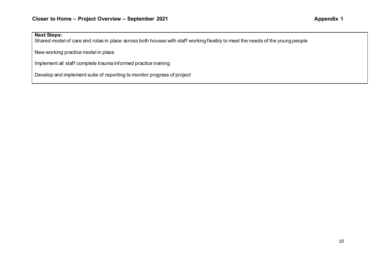#### **Next Steps:**

Shared model of care and rotas in place across both houses with staff working flexibly to meet the needs of the young people

New working practice model in place

Implement all staff complete trauma informed practice training

Develop and implement suite of reporting to monitor progress of project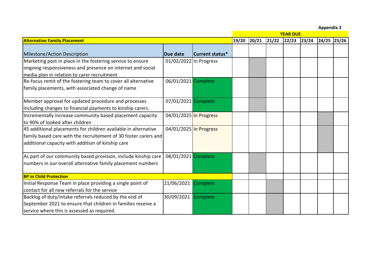**Appendix 2**

|                                                                                                                                                                                        |                        |                 |       | <b>YEAR DUE</b> |       |             |  |               |  |  |
|----------------------------------------------------------------------------------------------------------------------------------------------------------------------------------------|------------------------|-----------------|-------|-----------------|-------|-------------|--|---------------|--|--|
| <b>Alternative Family Placement</b>                                                                                                                                                    |                        |                 | 19/20 | 20/21           | 21/22 | 22/23 23/24 |  | $24/25$ 25/26 |  |  |
| Milestone/Action Description                                                                                                                                                           | Due date               | Current status* |       |                 |       |             |  |               |  |  |
| Marketing post in place in the fostering service to ensure<br>ongoing responsiveness and presence on internet and social<br>media plan in relation to carer recruitment                | 01/02/2022 In Progress |                 |       |                 |       |             |  |               |  |  |
| Re-focus remit of the fostering team to cover all alternative<br>family placements, with associated change of name                                                                     | 06/01/2021 Complete    |                 |       |                 |       |             |  |               |  |  |
| Member approval for updated procedure and processes<br>including changes to financial payments to kinship carers.                                                                      | 07/01/2021 Complete    |                 |       |                 |       |             |  |               |  |  |
| Incrementally increase community based placement capacity<br>to 90% of looked after children                                                                                           | 04/01/2025 In Progress |                 |       |                 |       |             |  |               |  |  |
| 45 additional placements for children available in alternative<br>family based care with the recruitement of 30 foster carers and<br>additional capacity with addition of kinship care | 04/01/2025 In Progress |                 |       |                 |       |             |  |               |  |  |
| As part of our community based provision, include kinship care<br>numbers in our overall alternative family placement numbers                                                          | 08/01/2021 Complete    |                 |       |                 |       |             |  |               |  |  |
| <b>BP in Child Protection</b>                                                                                                                                                          |                        |                 |       |                 |       |             |  |               |  |  |
| Initial Response Team in place providing a single point of<br>contact for all new referrals for the service                                                                            | 21/06/2021             | Complete        |       |                 |       |             |  |               |  |  |
| Backlog of duty/intake referrals reduced by the end of<br>September 2021 to ensure that children in families receive a<br>service where this is assessed as required.                  | 30/09/2021             | Complete        |       |                 |       |             |  |               |  |  |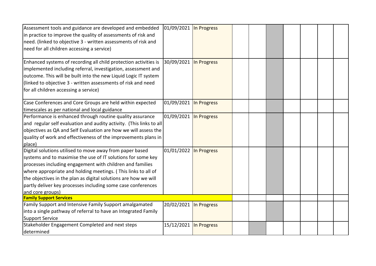| Assessment tools and guidance are developed and embedded<br>in practice to improve the quality of assessments of risk and<br>need. (linked to objective 3 - written assessments of risk and<br>need for all children accessing a service)                                                                                                                                                                     | 01/09/2021 In Progress |  |  |  |  |
|---------------------------------------------------------------------------------------------------------------------------------------------------------------------------------------------------------------------------------------------------------------------------------------------------------------------------------------------------------------------------------------------------------------|------------------------|--|--|--|--|
| Enhanced systems of recording all child protection activities is<br>implemented including referral, investigation, assessment and<br>outcome. This will be built into the new Liquid Logic IT system<br>(linked to objective 3 - written assessments of risk and need<br>for all children accessing a service)                                                                                                | 30/09/2021 In Progress |  |  |  |  |
| Case Conferences and Core Groups are held within expected<br>timescales as per national and local guidance                                                                                                                                                                                                                                                                                                    | 01/09/2021 In Progress |  |  |  |  |
| Performance is enhanced through routine quality assurance<br>and regular self evaluation and audity activity. (This links to all<br>objectives as QA and Self Evaluation are how we will assess the<br>quality of work and effectiveness of the improvements plans in<br>place)                                                                                                                               | 01/09/2021 In Progress |  |  |  |  |
| Digital solutions utilised to move away from paper based<br>systems and to maximise the use of IT solutions for some key<br>processes including engagement with children and families<br>where appropriate and holding meetings. (This links to all of<br>the objectives in the plan as digital solutions are how we will<br>partly deliver key processes including some case conferences<br>and core groups) | 01/01/2022 In Progress |  |  |  |  |
| <b>Family Support Services</b>                                                                                                                                                                                                                                                                                                                                                                                |                        |  |  |  |  |
| Family Support and Intensive Family Support amalgamated<br>into a single pathway of referral to have an Integrated Family<br><b>Support Service</b>                                                                                                                                                                                                                                                           | 20/02/2021 In Progress |  |  |  |  |
| Stakeholder Engagement Completed and next steps<br>determined                                                                                                                                                                                                                                                                                                                                                 | 15/12/2021 In Progress |  |  |  |  |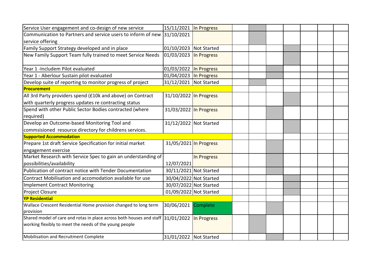| Service User engagement and co-design of new service                                                                                      | 15/11/2021 In Progress |             |  |  |  |  |
|-------------------------------------------------------------------------------------------------------------------------------------------|------------------------|-------------|--|--|--|--|
| Communication to Partners and service users to inform of new                                                                              | 31/10/2021             |             |  |  |  |  |
| service offering                                                                                                                          |                        |             |  |  |  |  |
| Family Support Strategy developed and in place                                                                                            | 01/10/2023 Not Started |             |  |  |  |  |
| New Family Support Team fully trained to meet Service Needs                                                                               | 01/03/2023 In Progress |             |  |  |  |  |
| Year 1 -Includem Pilot evaluated                                                                                                          | 01/03/2022 In Progress |             |  |  |  |  |
| Year 1 - Aberlour Sustain pilot evaluated                                                                                                 | 01/04/2023 In Progress |             |  |  |  |  |
| Develop suite of reporting to monitor progress of project                                                                                 | 31/12/2021 Not Started |             |  |  |  |  |
| Procurement                                                                                                                               |                        |             |  |  |  |  |
| All 3rd Party providers spend (£10k and above) on Contract<br>with quarterly progress updates re contracting status                       | 31/10/2022 In Progress |             |  |  |  |  |
| Spend with other Public Sector Bodies contracted (where<br>required)                                                                      | 31/03/2022 In Progress |             |  |  |  |  |
| Develop an Outcome-based Monitoring Tool and<br>commsisioned resource directory for childrens services.                                   | 31/12/2022 Not Started |             |  |  |  |  |
| <b>Supported Accommodation</b>                                                                                                            |                        |             |  |  |  |  |
| Prepare 1st draft Service Specification for initial market                                                                                | 31/05/2021 In Progress |             |  |  |  |  |
| engagement exercise                                                                                                                       |                        |             |  |  |  |  |
| Market Research with Service Spec to gain an understanding of                                                                             |                        | In Progress |  |  |  |  |
| possibilities/availability                                                                                                                | 12/07/2021             |             |  |  |  |  |
| Publication of contract notice with Tender Documentation                                                                                  | 30/11/2021 Not Started |             |  |  |  |  |
| Contract Mobilisation and accomodation available for use                                                                                  | 30/04/2022 Not Started |             |  |  |  |  |
| <b>Implement Contract Monitoring</b>                                                                                                      | 30/07/2022 Not Started |             |  |  |  |  |
| Project Closure                                                                                                                           | 01/09/2022 Not Started |             |  |  |  |  |
| <b>YP Residential</b>                                                                                                                     |                        |             |  |  |  |  |
| Wallace Crescent Residential Home provision changed to long term<br>provision                                                             | 30/06/2021 Complete    |             |  |  |  |  |
| Shared model of care and rotas in place across both houses and staff 31/01/2022<br>working flexibly to meet the needs of the young people |                        | In Progress |  |  |  |  |
| Mobilisation and Recruitment Complete                                                                                                     | 31/01/2022 Not Started |             |  |  |  |  |